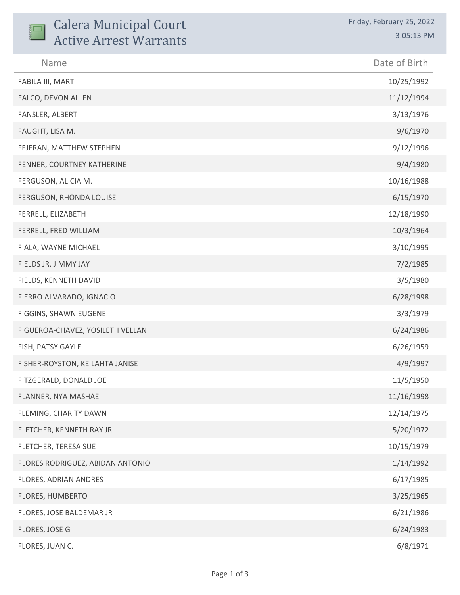| <b>Calera Municipal Court</b><br><b>Active Arrest Warrants</b> | Friday, February 25, 2022<br>3:05:13 PM |
|----------------------------------------------------------------|-----------------------------------------|
| Name                                                           | Date of Birth                           |
| FABILA III, MART                                               | 10/25/1992                              |
| FALCO, DEVON ALLEN                                             | 11/12/1994                              |
| FANSLER, ALBERT                                                | 3/13/1976                               |
| FAUGHT, LISA M.                                                | 9/6/1970                                |
| FEJERAN, MATTHEW STEPHEN                                       | 9/12/1996                               |
| FENNER, COURTNEY KATHERINE                                     | 9/4/1980                                |
| FERGUSON, ALICIA M.                                            | 10/16/1988                              |
| FERGUSON, RHONDA LOUISE                                        | 6/15/1970                               |
| FERRELL, ELIZABETH                                             | 12/18/1990                              |
| FERRELL, FRED WILLIAM                                          | 10/3/1964                               |
| FIALA, WAYNE MICHAEL                                           | 3/10/1995                               |
| FIELDS JR, JIMMY JAY                                           | 7/2/1985                                |
| FIELDS, KENNETH DAVID                                          | 3/5/1980                                |
| FIERRO ALVARADO, IGNACIO                                       | 6/28/1998                               |
| FIGGINS, SHAWN EUGENE                                          | 3/3/1979                                |
| FIGUEROA-CHAVEZ, YOSILETH VELLANI                              | 6/24/1986                               |
| FISH, PATSY GAYLE                                              | 6/26/1959                               |
| FISHER-ROYSTON, KEILAHTA JANISE                                | 4/9/1997                                |
| FITZGERALD, DONALD JOE                                         | 11/5/1950                               |
| FLANNER, NYA MASHAE                                            | 11/16/1998                              |
| FLEMING, CHARITY DAWN                                          | 12/14/1975                              |
| FLETCHER, KENNETH RAY JR                                       | 5/20/1972                               |
| FLETCHER, TERESA SUE                                           | 10/15/1979                              |
| FLORES RODRIGUEZ, ABIDAN ANTONIO                               | 1/14/1992                               |
| FLORES, ADRIAN ANDRES                                          | 6/17/1985                               |
| FLORES, HUMBERTO                                               | 3/25/1965                               |
| FLORES, JOSE BALDEMAR JR                                       | 6/21/1986                               |
| FLORES, JOSE G                                                 | 6/24/1983                               |
| FLORES, JUAN C.                                                | 6/8/1971                                |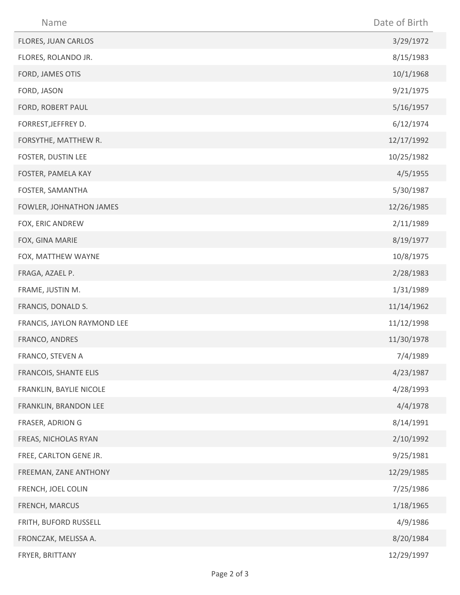| Name                        | Date of Birth |
|-----------------------------|---------------|
| FLORES, JUAN CARLOS         | 3/29/1972     |
| FLORES, ROLANDO JR.         | 8/15/1983     |
| FORD, JAMES OTIS            | 10/1/1968     |
| FORD, JASON                 | 9/21/1975     |
| FORD, ROBERT PAUL           | 5/16/1957     |
| FORREST, JEFFREY D.         | 6/12/1974     |
| FORSYTHE, MATTHEW R.        | 12/17/1992    |
| FOSTER, DUSTIN LEE          | 10/25/1982    |
| FOSTER, PAMELA KAY          | 4/5/1955      |
| FOSTER, SAMANTHA            | 5/30/1987     |
| FOWLER, JOHNATHON JAMES     | 12/26/1985    |
| FOX, ERIC ANDREW            | 2/11/1989     |
| FOX, GINA MARIE             | 8/19/1977     |
| FOX, MATTHEW WAYNE          | 10/8/1975     |
| FRAGA, AZAEL P.             | 2/28/1983     |
| FRAME, JUSTIN M.            | 1/31/1989     |
| FRANCIS, DONALD S.          | 11/14/1962    |
| FRANCIS, JAYLON RAYMOND LEE | 11/12/1998    |
| FRANCO, ANDRES              | 11/30/1978    |
| FRANCO, STEVEN A            | 7/4/1989      |
| FRANCOIS, SHANTE ELIS       | 4/23/1987     |
| FRANKLIN, BAYLIE NICOLE     | 4/28/1993     |
| FRANKLIN, BRANDON LEE       | 4/4/1978      |
| FRASER, ADRION G            | 8/14/1991     |
| FREAS, NICHOLAS RYAN        | 2/10/1992     |
| FREE, CARLTON GENE JR.      | 9/25/1981     |
| FREEMAN, ZANE ANTHONY       | 12/29/1985    |
| FRENCH, JOEL COLIN          | 7/25/1986     |
| FRENCH, MARCUS              | 1/18/1965     |
| FRITH, BUFORD RUSSELL       | 4/9/1986      |
| FRONCZAK, MELISSA A.        | 8/20/1984     |
| FRYER, BRITTANY             | 12/29/1997    |